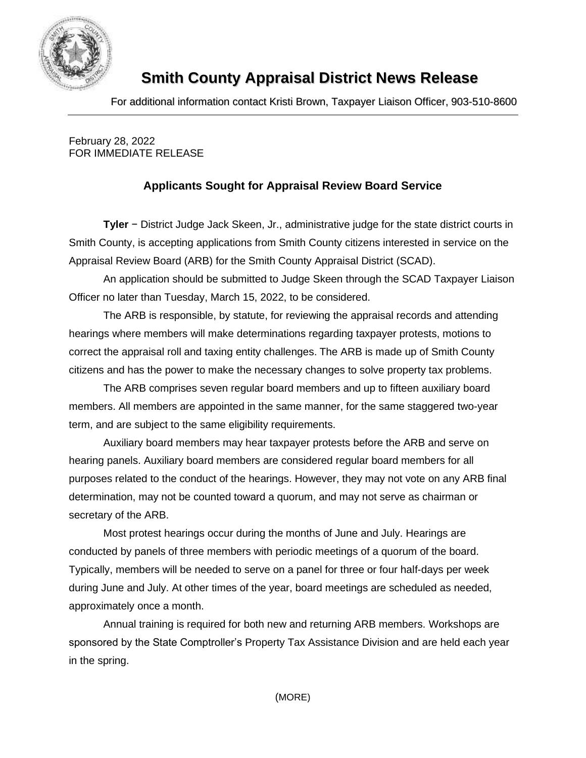

## **Smith County Appraisal District News Release**

For additional information contact Kristi Brown, Taxpayer Liaison Officer, 903-510-8600

February 28, 2022 FOR IMMEDIATE RELEASE

## **Applicants Sought for Appraisal Review Board Service**

**Tyler** − District Judge Jack Skeen, Jr., administrative judge for the state district courts in Smith County, is accepting applications from Smith County citizens interested in service on the Appraisal Review Board (ARB) for the Smith County Appraisal District (SCAD).

An application should be submitted to Judge Skeen through the SCAD Taxpayer Liaison Officer no later than Tuesday, March 15, 2022, to be considered.

The ARB is responsible, by statute, for reviewing the appraisal records and attending hearings where members will make determinations regarding taxpayer protests, motions to correct the appraisal roll and taxing entity challenges. The ARB is made up of Smith County citizens and has the power to make the necessary changes to solve property tax problems.

The ARB comprises seven regular board members and up to fifteen auxiliary board members. All members are appointed in the same manner, for the same staggered two-year term, and are subject to the same eligibility requirements.

Auxiliary board members may hear taxpayer protests before the ARB and serve on hearing panels. Auxiliary board members are considered regular board members for all purposes related to the conduct of the hearings. However, they may not vote on any ARB final determination, may not be counted toward a quorum, and may not serve as chairman or secretary of the ARB.

Most protest hearings occur during the months of June and July. Hearings are conducted by panels of three members with periodic meetings of a quorum of the board. Typically, members will be needed to serve on a panel for three or four half-days per week during June and July. At other times of the year, board meetings are scheduled as needed, approximately once a month.

Annual training is required for both new and returning ARB members. Workshops are sponsored by the State Comptroller's Property Tax Assistance Division and are held each year in the spring.